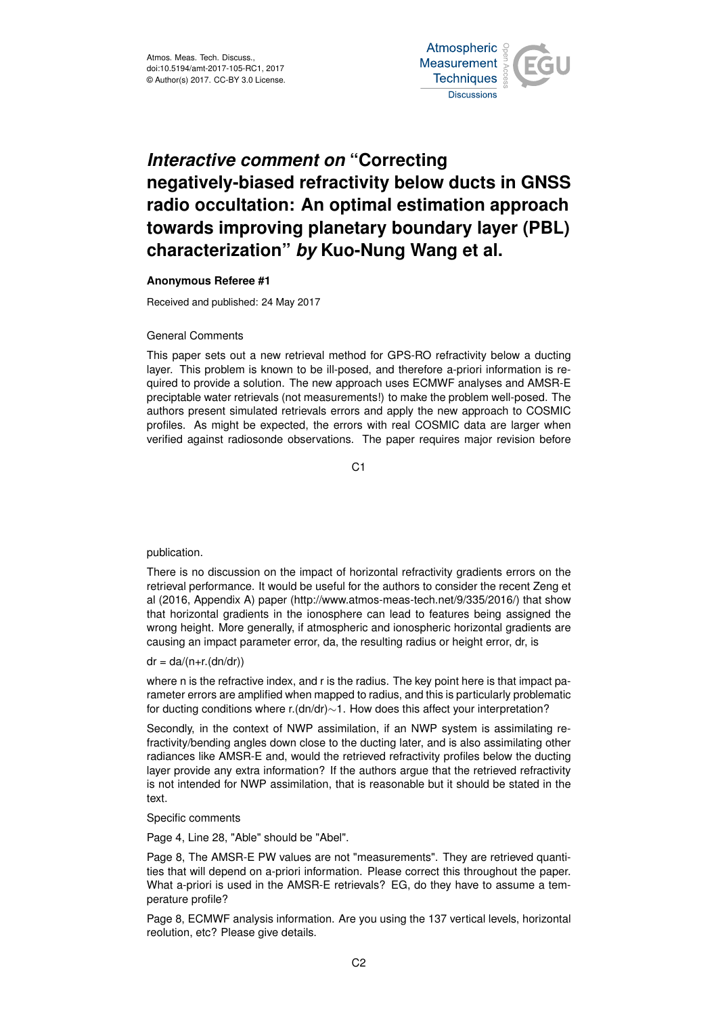

# *Interactive comment on* **"Correcting negatively-biased refractivity below ducts in GNSS radio occultation: An optimal estimation approach towards improving planetary boundary layer (PBL) characterization"** *by* **Kuo-Nung Wang et al.**

### **Anonymous Referee #1**

Received and published: 24 May 2017

#### General Comments

This paper sets out a new retrieval method for GPS-RO refractivity below a ducting layer. This problem is known to be ill-posed, and therefore a-priori information is required to provide a solution. The new approach uses ECMWF analyses and AMSR-E preciptable water retrievals (not measurements!) to make the problem well-posed. The authors present simulated retrievals errors and apply the new approach to COSMIC profiles. As might be expected, the errors with real COSMIC data are larger when verified against radiosonde observations. The paper requires major revision before

C1

## publication.

There is no discussion on the impact of horizontal refractivity gradients errors on the retrieval performance. It would be useful for the authors to consider the recent Zeng et al (2016, Appendix A) paper (http://www.atmos-meas-tech.net/9/335/2016/) that show that horizontal gradients in the ionosphere can lead to features being assigned the wrong height. More generally, if atmospheric and ionospheric horizontal gradients are causing an impact parameter error, da, the resulting radius or height error, dr, is

#### $dr = da/(n+r.(dn/dr))$

where n is the refractive index, and r is the radius. The key point here is that impact parameter errors are amplified when mapped to radius, and this is particularly problematic for ducting conditions where r.(dn/dr)∼1. How does this affect your interpretation?

Secondly, in the context of NWP assimilation, if an NWP system is assimilating refractivity/bending angles down close to the ducting later, and is also assimilating other radiances like AMSR-E and, would the retrieved refractivity profiles below the ducting layer provide any extra information? If the authors argue that the retrieved refractivity is not intended for NWP assimilation, that is reasonable but it should be stated in the text.

Specific comments

Page 4, Line 28, "Able" should be "Abel".

Page 8, The AMSR-E PW values are not "measurements". They are retrieved quantities that will depend on a-priori information. Please correct this throughout the paper. What a-priori is used in the AMSR-E retrievals? EG, do they have to assume a temperature profile?

Page 8, ECMWF analysis information. Are you using the 137 vertical levels, horizontal reolution, etc? Please give details.